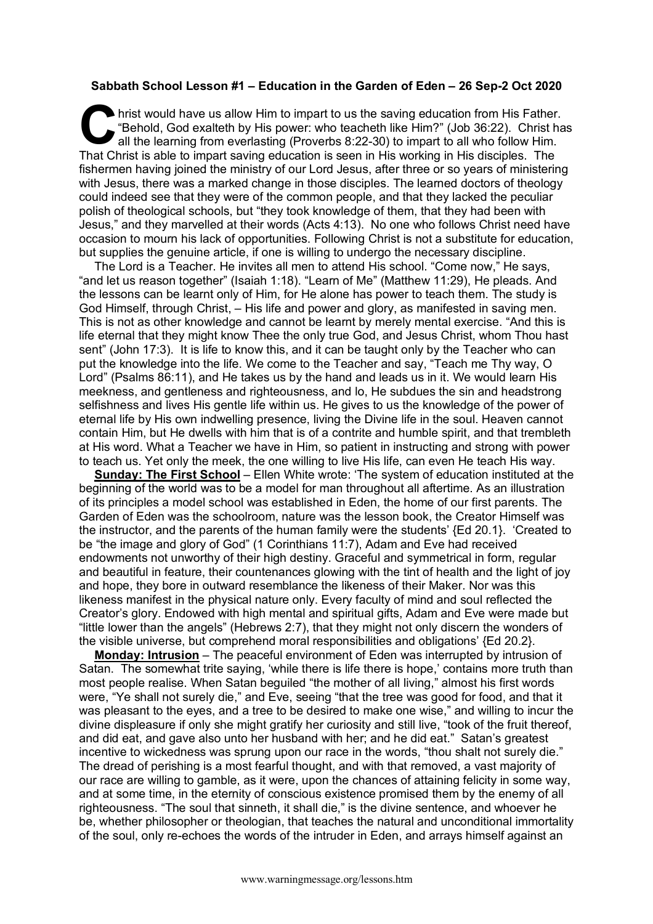## **Sabbath School Lesson #1 – Education in the Garden of Eden – 26 Sep-2 Oct 2020**

hrist would have us allow Him to impart to us the saving education from His Father. "Behold, God exalteth by His power: who teacheth like Him?" (Job 36:22). Christ has all the learning from everlasting (Proverbs 8:22-30) to impart to all who follow Him. That Christ is able to impart saving education is seen in His working in His disciples. The fishermen having joined the ministry of our Lord Jesus, after three or so years of ministering with Jesus, there was a marked change in those disciples. The learned doctors of theology could indeed see that they were of the common people, and that they lacked the peculiar polish of theological schools, but "they took knowledge of them, that they had been with Jesus," and they marvelled at their words (Acts 4:13). No one who follows Christ need have occasion to mourn his lack of opportunities. Following Christ is not a substitute for education, but supplies the genuine article, if one is willing to undergo the necessary discipline. C interest

The Lord is a Teacher. He invites all men to attend His school. "Come now," He says, "and let us reason together" (Isaiah 1:18). "Learn of Me" (Matthew 11:29), He pleads. And the lessons can be learnt only of Him, for He alone has power to teach them. The study is God Himself, through Christ, – His life and power and glory, as manifested in saving men. This is not as other knowledge and cannot be learnt by merely mental exercise. "And this is life eternal that they might know Thee the only true God, and Jesus Christ, whom Thou hast sent" (John 17:3). It is life to know this, and it can be taught only by the Teacher who can put the knowledge into the life. We come to the Teacher and say, "Teach me Thy way, O Lord" (Psalms 86:11), and He takes us by the hand and leads us in it. We would learn His meekness, and gentleness and righteousness, and lo, He subdues the sin and headstrong selfishness and lives His gentle life within us. He gives to us the knowledge of the power of eternal life by His own indwelling presence, living the Divine life in the soul. Heaven cannot contain Him, but He dwells with him that is of a contrite and humble spirit, and that trembleth at His word. What a Teacher we have in Him, so patient in instructing and strong with power to teach us. Yet only the meek, the one willing to live His life, can even He teach His way.

**Sunday: The First School** – Ellen White wrote: 'The system of education instituted at the beginning of the world was to be a model for man throughout all aftertime. As an illustration of its principles a model school was established in Eden, the home of our first parents. The Garden of Eden was the schoolroom, nature was the lesson book, the Creator Himself was the instructor, and the parents of the human family were the students' {Ed 20.1}. 'Created to be "the image and glory of God" (1 Corinthians 11:7), Adam and Eve had received endowments not unworthy of their high destiny. Graceful and symmetrical in form, regular and beautiful in feature, their countenances glowing with the tint of health and the light of joy and hope, they bore in outward resemblance the likeness of their Maker. Nor was this likeness manifest in the physical nature only. Every faculty of mind and soul reflected the Creator's glory. Endowed with high mental and spiritual gifts, Adam and Eve were made but "little lower than the angels" (Hebrews 2:7), that they might not only discern the wonders of the visible universe, but comprehend moral responsibilities and obligations' {Ed 20.2}.

**Monday: Intrusion** – The peaceful environment of Eden was interrupted by intrusion of Satan. The somewhat trite saying, 'while there is life there is hope,' contains more truth than most people realise. When Satan beguiled "the mother of all living," almost his first words were, "Ye shall not surely die," and Eve, seeing "that the tree was good for food, and that it was pleasant to the eyes, and a tree to be desired to make one wise," and willing to incur the divine displeasure if only she might gratify her curiosity and still live, "took of the fruit thereof, and did eat, and gave also unto her husband with her; and he did eat." Satan's greatest incentive to wickedness was sprung upon our race in the words, "thou shalt not surely die." The dread of perishing is a most fearful thought, and with that removed, a vast majority of our race are willing to gamble, as it were, upon the chances of attaining felicity in some way, and at some time, in the eternity of conscious existence promised them by the enemy of all righteousness. "The soul that sinneth, it shall die," is the divine sentence, and whoever he be, whether philosopher or theologian, that teaches the natural and unconditional immortality of the soul, only re-echoes the words of the intruder in Eden, and arrays himself against an